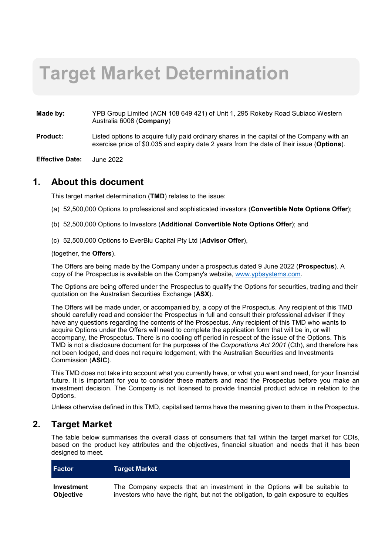# **Target Market Determination**

- **Made by:** YPB Group Limited (ACN 108 649 421) of Unit 1, 295 Rokeby Road Subiaco Western Australia 6008 (**Company**)
- **Product:** Listed options to acquire fully paid ordinary shares in the capital of the Company with an exercise price of \$0.035 and expiry date 2 years from the date of their issue (**Options**).
- **Effective Date:** June 2022

#### **1. About this document**

This target market determination (**TMD**) relates to the issue:

- (a) 52,500,000 Options to professional and sophisticated investors (**Convertible Note Options Offer**);
- (b) 52,500,000 Options to Investors (**Additional Convertible Note Options Offer**); and
- (c) 52,500,000 Options to EverBlu Capital Pty Ltd (**Advisor Offer**),

(together, the **Offers**).

The Offers are being made by the Company under a prospectus dated 9 June 2022 (**Prospectus**). A copy of the Prospectus is available on the Company's website, www.ypbsystems.com.

The Options are being offered under the Prospectus to qualify the Options for securities, trading and their quotation on the Australian Securities Exchange (**ASX**).

The Offers will be made under, or accompanied by, a copy of the Prospectus. Any recipient of this TMD should carefully read and consider the Prospectus in full and consult their professional adviser if they have any questions regarding the contents of the Prospectus. Any recipient of this TMD who wants to acquire Options under the Offers will need to complete the application form that will be in, or will accompany, the Prospectus. There is no cooling off period in respect of the issue of the Options. This TMD is not a disclosure document for the purposes of the *Corporations Act 2001* (Cth), and therefore has not been lodged, and does not require lodgement, with the Australian Securities and Investments Commission (**ASIC**).

This TMD does not take into account what you currently have, or what you want and need, for your financial future. It is important for you to consider these matters and read the Prospectus before you make an investment decision. The Company is not licensed to provide financial product advice in relation to the Options.

Unless otherwise defined in this TMD, capitalised terms have the meaning given to them in the Prospectus.

#### **2. Target Market**

The table below summarises the overall class of consumers that fall within the target market for CDIs, based on the product key attributes and the objectives, financial situation and needs that it has been designed to meet.

| <b>Factor</b>     | Target Market                                                                      |
|-------------------|------------------------------------------------------------------------------------|
| <b>Investment</b> | The Company expects that an investment in the Options will be suitable to          |
| <b>Objective</b>  | investors who have the right, but not the obligation, to gain exposure to equities |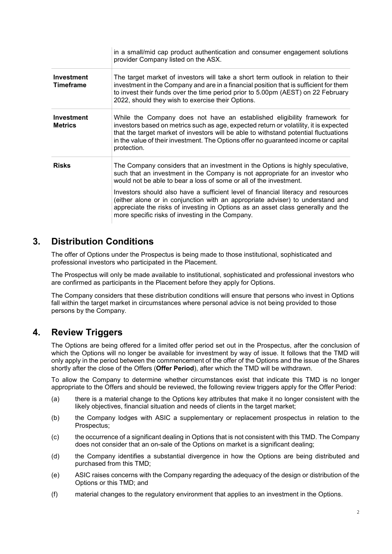|                                       | in a small/mid cap product authentication and consumer engagement solutions<br>provider Company listed on the ASX.                                                                                                                                                                                                                                              |
|---------------------------------------|-----------------------------------------------------------------------------------------------------------------------------------------------------------------------------------------------------------------------------------------------------------------------------------------------------------------------------------------------------------------|
| <b>Investment</b><br><b>Timeframe</b> | The target market of investors will take a short term outlook in relation to their<br>investment in the Company and are in a financial position that is sufficient for them<br>to invest their funds over the time period prior to 5.00pm (AEST) on 22 February<br>2022, should they wish to exercise their Options.                                            |
| Investment<br><b>Metrics</b>          | While the Company does not have an established eligibility framework for<br>investors based on metrics such as age, expected return or volatility, it is expected<br>that the target market of investors will be able to withstand potential fluctuations<br>in the value of their investment. The Options offer no guaranteed income or capital<br>protection. |
| <b>Risks</b>                          | The Company considers that an investment in the Options is highly speculative,<br>such that an investment in the Company is not appropriate for an investor who<br>would not be able to bear a loss of some or all of the investment.                                                                                                                           |
|                                       | Investors should also have a sufficient level of financial literacy and resources<br>(either alone or in conjunction with an appropriate adviser) to understand and<br>appreciate the risks of investing in Options as an asset class generally and the<br>more specific risks of investing in the Company.                                                     |

## **3. Distribution Conditions**

The offer of Options under the Prospectus is being made to those institutional, sophisticated and professional investors who participated in the Placement.

The Prospectus will only be made available to institutional, sophisticated and professional investors who are confirmed as participants in the Placement before they apply for Options.

The Company considers that these distribution conditions will ensure that persons who invest in Options fall within the target market in circumstances where personal advice is not being provided to those persons by the Company.

### **4. Review Triggers**

The Options are being offered for a limited offer period set out in the Prospectus, after the conclusion of which the Options will no longer be available for investment by way of issue. It follows that the TMD will only apply in the period between the commencement of the offer of the Options and the issue of the Shares shortly after the close of the Offers (**Offer Period**), after which the TMD will be withdrawn.

To allow the Company to determine whether circumstances exist that indicate this TMD is no longer appropriate to the Offers and should be reviewed, the following review triggers apply for the Offer Period:

- (a) there is a material change to the Options key attributes that make it no longer consistent with the likely objectives, financial situation and needs of clients in the target market;
- (b) the Company lodges with ASIC a supplementary or replacement prospectus in relation to the Prospectus;
- (c) the occurrence of a significant dealing in Options that is not consistent with this TMD. The Company does not consider that an on-sale of the Options on market is a significant dealing;
- (d) the Company identifies a substantial divergence in how the Options are being distributed and purchased from this TMD;
- (e) ASIC raises concerns with the Company regarding the adequacy of the design or distribution of the Options or this TMD; and
- (f) material changes to the regulatory environment that applies to an investment in the Options.